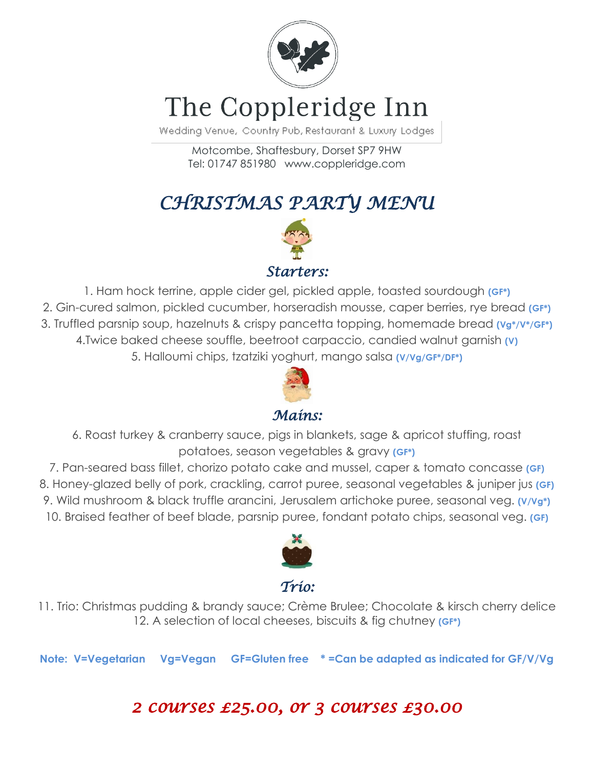

# The Coppleridge Inn

Wedding Venue, Country Pub, Restaurant & Luxury Lodges

Motcombe, Shaftesbury, Dorset SP7 9HW Tel: 01747 851980 www.coppleridge.com

*CHRISTMAS PARTY MENU* 



1. Ham hock terrine, apple cider gel, pickled apple, toasted sourdough **(GF\*)** 2. Gin-cured salmon, pickled cucumber, horseradish mousse, caper berries, rye bread **(GF\*)** 3. Truffled parsnip soup, hazelnuts & crispy pancetta topping, homemade bread **(Vg\*/V\*/GF\*)** 4.Twice baked cheese souffle, beetroot carpaccio, candied walnut garnish **(V)** 5. Halloumi chips, tzatziki yoghurt, mango salsa **(V/Vg/GF\*/DF\*)**



#### *Mains:*

6. Roast turkey & cranberry sauce, pigs in blankets, sage & apricot stuffing, roast potatoes, season vegetables & gravy **(GF\*)**

7. Pan-seared bass fillet, chorizo potato cake and mussel, caper & tomato concasse **(GF)** 8. Honey-glazed belly of pork, crackling, carrot puree, seasonal vegetables & juniper jus **(GF)** 9. Wild mushroom & black truffle arancini, Jerusalem artichoke puree, seasonal veg. **(V/Vg\*)** 10. Braised feather of beef blade, parsnip puree, fondant potato chips, seasonal veg. **(GF)**



#### *Trio:*

11. Trio: Christmas pudding & brandy sauce; Crème Brulee; Chocolate & kirsch cherry delice 12. A selection of local cheeses, biscuits & fig chutney **(GF\*)**

**Note: V=Vegetarian Vg=Vegan GF=Gluten free \* =Can be adapted as indicated for GF/V/Vg**

### *2 courses £25.00, or 3 courses £30.00*